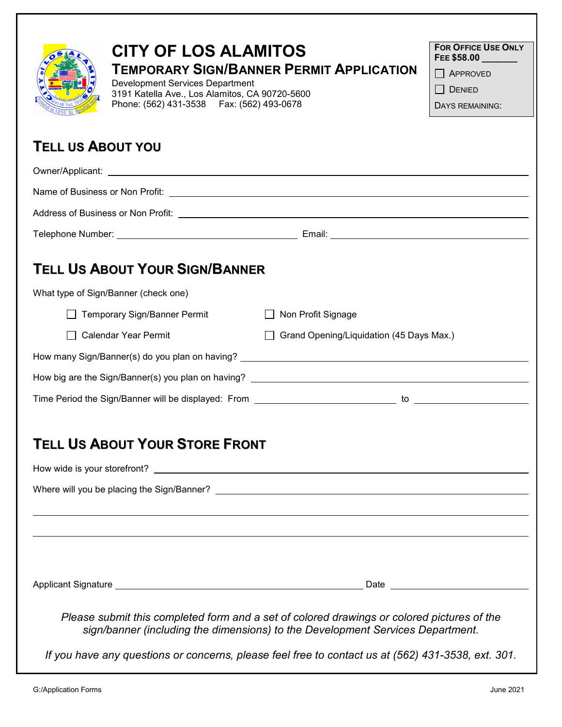| <b>CITY OF LOS ALAMITOS</b><br><b>Development Services Department</b><br>3191 Katella Ave., Los Alamitos, CA 90720-5600<br>Phone: (562) 431-3538    Fax: (562) 493-0678                                                       | <b>TEMPORARY SIGN/BANNER PERMIT APPLICATION</b> | <b>FOR OFFICE USE ONLY</b><br>FEE \$58.00<br>APPROVED<br><b>DENIED</b><br>DAYS REMAINING: |
|-------------------------------------------------------------------------------------------------------------------------------------------------------------------------------------------------------------------------------|-------------------------------------------------|-------------------------------------------------------------------------------------------|
| <b>TELL US ABOUT YOU</b>                                                                                                                                                                                                      |                                                 |                                                                                           |
|                                                                                                                                                                                                                               |                                                 |                                                                                           |
|                                                                                                                                                                                                                               |                                                 |                                                                                           |
| Address of Business or Non Profit: Letter and Content of the Content of the Content of the Content of the Content of the Content of the Content of the Content of the Content of the Content of the Content of the Content of |                                                 |                                                                                           |
|                                                                                                                                                                                                                               |                                                 |                                                                                           |
| <b>TELL US ABOUT YOUR SIGN/BANNER</b><br>What type of Sign/Banner (check one)                                                                                                                                                 |                                                 |                                                                                           |
| Temporary Sign/Banner Permit                                                                                                                                                                                                  | ◯ Non Profit Signage                            |                                                                                           |
| <b>Calendar Year Permit</b>                                                                                                                                                                                                   | Grand Opening/Liquidation (45 Days Max.)        |                                                                                           |
|                                                                                                                                                                                                                               |                                                 |                                                                                           |
|                                                                                                                                                                                                                               |                                                 |                                                                                           |
|                                                                                                                                                                                                                               |                                                 |                                                                                           |
| <b>TELL US ABOUT YOUR STORE FRONT</b><br><u> 1989 - Andrea Santa Andrea Andrea Santa Andrea Andrea Andrea Andrea Andrea Andrea Andrea Andrea Andrea Andre</u>                                                                 |                                                 |                                                                                           |
| Please submit this completed form and a set of colored drawings or colored pictures of the<br>sign/banner (including the dimensions) to the Development Services Department.                                                  |                                                 |                                                                                           |
| If you have any questions or concerns, please feel free to contact us at (562) 431-3538, ext. 301.                                                                                                                            |                                                 |                                                                                           |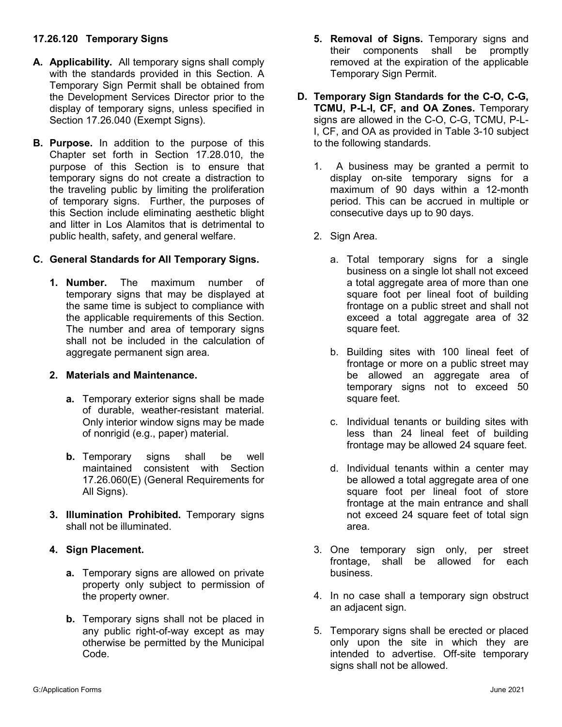# **17.26.120 Temporary Signs**

- **A. Applicability.** All temporary signs shall comply with the standards provided in this Section. A Temporary Sign Permit shall be obtained from the Development Services Director prior to the display of temporary signs, unless specified in Section 17.26.040 (Exempt Signs).
- **B. Purpose.** In addition to the purpose of this Chapter set forth in Section 17.28.010, the purpose of this Section is to ensure that temporary signs do not create a distraction to the traveling public by limiting the proliferation of temporary signs. Further, the purposes of this Section include eliminating aesthetic blight and litter in Los Alamitos that is detrimental to public health, safety, and general welfare.

# **C. General Standards for All Temporary Signs.**

**1. Number.** The maximum number of temporary signs that may be displayed at the same time is subject to compliance with the applicable requirements of this Section. The number and area of temporary signs shall not be included in the calculation of aggregate permanent sign area.

### **2. Materials and Maintenance.**

- **a.** Temporary exterior signs shall be made of durable, weather-resistant material. Only interior window signs may be made of nonrigid (e.g., paper) material.
- **b.** Temporary signs shall be well maintained consistent with Section 17.26.060(E) (General Requirements for All Signs).
- **3. Illumination Prohibited.** Temporary signs shall not be illuminated.

### **4. Sign Placement.**

- **a.** Temporary signs are allowed on private property only subject to permission of the property owner.
- **b.** Temporary signs shall not be placed in any public right-of-way except as may otherwise be permitted by the Municipal Code.
- **5. Removal of Signs.** Temporary signs and their components shall be promptly removed at the expiration of the applicable Temporary Sign Permit.
- **D. Temporary Sign Standards for the C-O, C-G, TCMU, P-L-I, CF, and OA Zones.** Temporary signs are allowed in the C-O, C-G, TCMU, P-L-I, CF, and OA as provided in Table 3-10 subject to the following standards.
	- 1. A business may be granted a permit to display on-site temporary signs for a maximum of 90 days within a 12-month period. This can be accrued in multiple or consecutive days up to 90 days.
	- 2. Sign Area.
		- a. Total temporary signs for a single business on a single lot shall not exceed a total aggregate area of more than one square foot per lineal foot of building frontage on a public street and shall not exceed a total aggregate area of 32 square feet.
		- b. Building sites with 100 lineal feet of frontage or more on a public street may be allowed an aggregate area of temporary signs not to exceed 50 square feet.
		- c. Individual tenants or building sites with less than 24 lineal feet of building frontage may be allowed 24 square feet.
		- d. Individual tenants within a center may be allowed a total aggregate area of one square foot per lineal foot of store frontage at the main entrance and shall not exceed 24 square feet of total sign area.
	- 3. One temporary sign only, per street frontage, shall be allowed for each business.
	- 4. In no case shall a temporary sign obstruct an adjacent sign.
	- 5. Temporary signs shall be erected or placed only upon the site in which they are intended to advertise. Off-site temporary signs shall not be allowed.